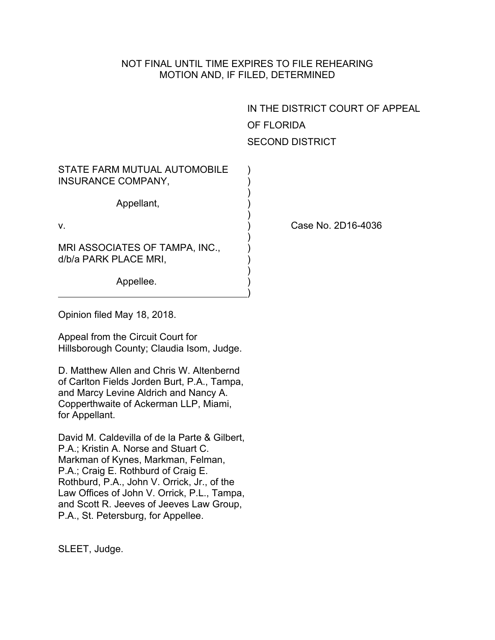## NOT FINAL UNTIL TIME EXPIRES TO FILE REHEARING MOTION AND, IF FILED, DETERMINED

IN THE DISTRICT COURT OF APPEAL OF FLORIDA SECOND DISTRICT

| STATE FARM MUTUAL AUTOMOBILE<br><b>INSURANCE COMPANY,</b> |  |
|-----------------------------------------------------------|--|
| Appellant,                                                |  |
| V.                                                        |  |
| MRI ASSOCIATES OF TAMPA, INC.,<br>d/b/a PARK PLACE MRI,   |  |
| Appellee.                                                 |  |

Case No. 2D16-4036

Opinion filed May 18, 2018.

Appeal from the Circuit Court for Hillsborough County; Claudia Isom, Judge.

D. Matthew Allen and Chris W. Altenbernd of Carlton Fields Jorden Burt, P.A., Tampa, and Marcy Levine Aldrich and Nancy A. Copperthwaite of Ackerman LLP, Miami, for Appellant.

David M. Caldevilla of de la Parte & Gilbert, P.A.; Kristin A. Norse and Stuart C. Markman of Kynes, Markman, Felman, P.A.; Craig E. Rothburd of Craig E. Rothburd, P.A., John V. Orrick, Jr., of the Law Offices of John V. Orrick, P.L., Tampa, and Scott R. Jeeves of Jeeves Law Group, P.A., St. Petersburg, for Appellee.

SLEET, Judge.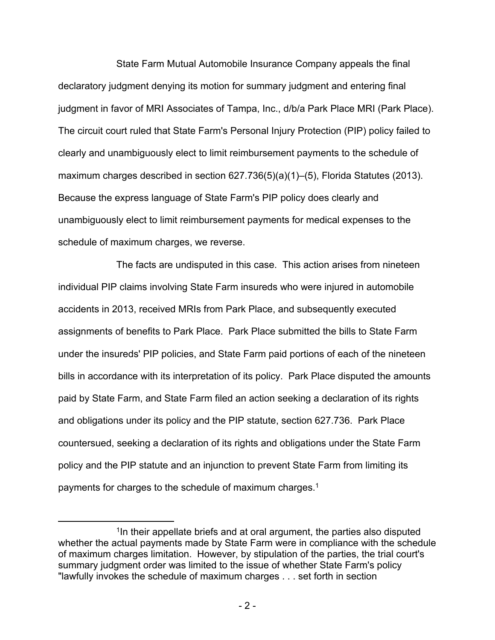State Farm Mutual Automobile Insurance Company appeals the final declaratory judgment denying its motion for summary judgment and entering final judgment in favor of MRI Associates of Tampa, Inc., d/b/a Park Place MRI (Park Place). The circuit court ruled that State Farm's Personal Injury Protection (PIP) policy failed to clearly and unambiguously elect to limit reimbursement payments to the schedule of maximum charges described in section 627.736(5)(a)(1)–(5), Florida Statutes (2013). Because the express language of State Farm's PIP policy does clearly and unambiguously elect to limit reimbursement payments for medical expenses to the schedule of maximum charges, we reverse.

The facts are undisputed in this case. This action arises from nineteen individual PIP claims involving State Farm insureds who were injured in automobile accidents in 2013, received MRIs from Park Place, and subsequently executed assignments of benefits to Park Place. Park Place submitted the bills to State Farm under the insureds' PIP policies, and State Farm paid portions of each of the nineteen bills in accordance with its interpretation of its policy. Park Place disputed the amounts paid by State Farm, and State Farm filed an action seeking a declaration of its rights and obligations under its policy and the PIP statute, section 627.736. Park Place countersued, seeking a declaration of its rights and obligations under the State Farm policy and the PIP statute and an injunction to prevent State Farm from limiting its payments for charges to the schedule of maximum charges.<sup>1</sup>

<sup>&</sup>lt;sup>1</sup>In their appellate briefs and at oral argument, the parties also disputed whether the actual payments made by State Farm were in compliance with the schedule of maximum charges limitation. However, by stipulation of the parties, the trial court's summary judgment order was limited to the issue of whether State Farm's policy "lawfully invokes the schedule of maximum charges . . . set forth in section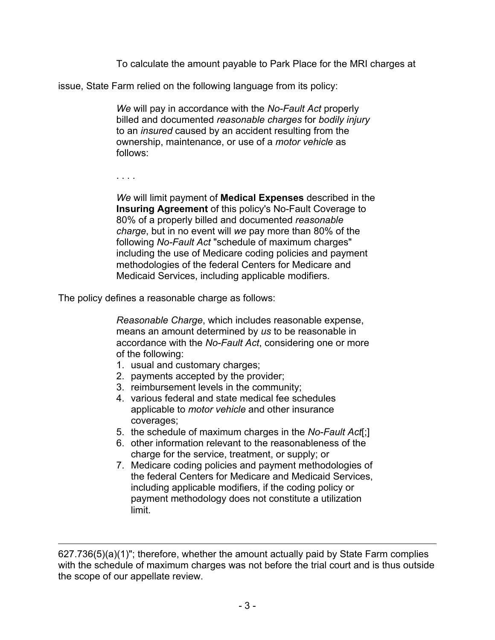To calculate the amount payable to Park Place for the MRI charges at

issue, State Farm relied on the following language from its policy:

*We* will pay in accordance with the *No-Fault Act* properly billed and documented *reasonable charges* for *bodily injury* to an *insured* caused by an accident resulting from the ownership, maintenance, or use of a *motor vehicle* as follows:

. . . .

*We* will limit payment of **Medical Expenses** described in the **Insuring Agreement** of this policy's No-Fault Coverage to 80% of a properly billed and documented *reasonable charge*, but in no event will *we* pay more than 80% of the following *No-Fault Act* "schedule of maximum charges" including the use of Medicare coding policies and payment methodologies of the federal Centers for Medicare and Medicaid Services, including applicable modifiers.

The policy defines a reasonable charge as follows:

*Reasonable Charge*, which includes reasonable expense, means an amount determined by *us* to be reasonable in accordance with the *No-Fault Act*, considering one or more of the following:

- 1. usual and customary charges;
- 2. payments accepted by the provider;
- 3. reimbursement levels in the community;
- 4. various federal and state medical fee schedules applicable to *motor vehicle* and other insurance coverages;
- 5. the schedule of maximum charges in the *No-Fault Act*[;]
- 6. other information relevant to the reasonableness of the charge for the service, treatment, or supply; or
- 7. Medicare coding policies and payment methodologies of the federal Centers for Medicare and Medicaid Services, including applicable modifiers, if the coding policy or payment methodology does not constitute a utilization limit.

627.736(5)(a)(1)"; therefore, whether the amount actually paid by State Farm complies with the schedule of maximum charges was not before the trial court and is thus outside the scope of our appellate review.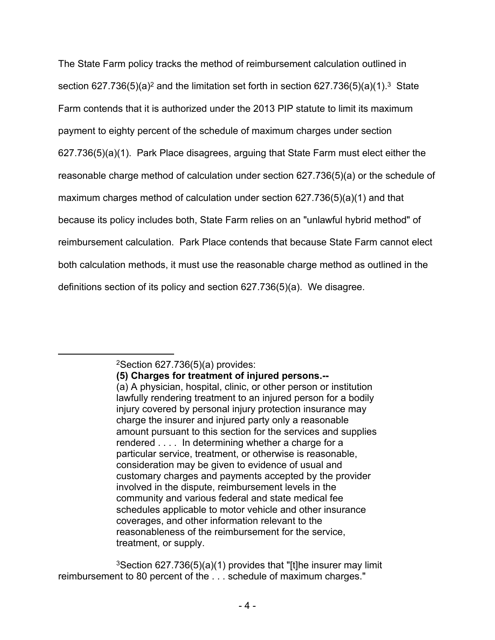The State Farm policy tracks the method of reimbursement calculation outlined in section 627.736(5)(a)<sup>2</sup> and the limitation set forth in section 627.736(5)(a)(1).<sup>3</sup> State Farm contends that it is authorized under the 2013 PIP statute to limit its maximum payment to eighty percent of the schedule of maximum charges under section 627.736(5)(a)(1). Park Place disagrees, arguing that State Farm must elect either the reasonable charge method of calculation under section 627.736(5)(a) or the schedule of maximum charges method of calculation under section 627.736(5)(a)(1) and that because its policy includes both, State Farm relies on an "unlawful hybrid method" of reimbursement calculation. Park Place contends that because State Farm cannot elect both calculation methods, it must use the reasonable charge method as outlined in the definitions section of its policy and section 627.736(5)(a). We disagree.

 $2$ Section 627.736(5)(a) provides:

**<sup>(5)</sup> Charges for treatment of injured persons.--** (a) A physician, hospital, clinic, or other person or institution lawfully rendering treatment to an injured person for a bodily injury covered by personal injury protection insurance may charge the insurer and injured party only a reasonable amount pursuant to this section for the services and supplies rendered . . . . In determining whether a charge for a particular service, treatment, or otherwise is reasonable, consideration may be given to evidence of usual and customary charges and payments accepted by the provider involved in the dispute, reimbursement levels in the community and various federal and state medical fee schedules applicable to motor vehicle and other insurance coverages, and other information relevant to the reasonableness of the reimbursement for the service, treatment, or supply.

<sup>3</sup>Section 627.736(5)(a)(1) provides that "[t]he insurer may limit reimbursement to 80 percent of the . . . schedule of maximum charges."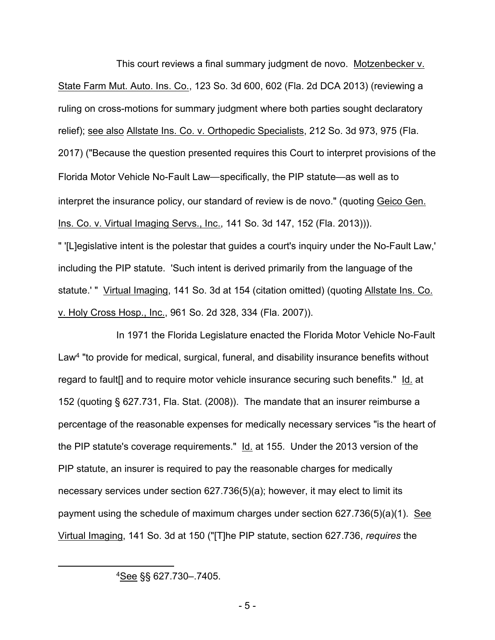This court reviews a final summary judgment de novo. Motzenbecker v. State Farm Mut. Auto. Ins. Co., 123 So. 3d 600, 602 (Fla. 2d DCA 2013) (reviewing a ruling on cross-motions for summary judgment where both parties sought declaratory relief); see also Allstate Ins. Co. v. Orthopedic Specialists, 212 So. 3d 973, 975 (Fla. 2017) ("Because the question presented requires this Court to interpret provisions of the Florida Motor Vehicle No-Fault Law—specifically, the PIP statute—as well as to interpret the insurance policy, our standard of review is de novo." (quoting Geico Gen. Ins. Co. v. Virtual Imaging Servs., Inc., 141 So. 3d 147, 152 (Fla. 2013))).

" '[L]egislative intent is the polestar that guides a court's inquiry under the No-Fault Law,' including the PIP statute. 'Such intent is derived primarily from the language of the statute.' " Virtual Imaging, 141 So. 3d at 154 (citation omitted) (quoting Allstate Ins. Co. v. Holy Cross Hosp., Inc., 961 So. 2d 328, 334 (Fla. 2007)).

In 1971 the Florida Legislature enacted the Florida Motor Vehicle No-Fault Law<sup>4</sup> "to provide for medical, surgical, funeral, and disability insurance benefits without regard to fault[] and to require motor vehicle insurance securing such benefits." Id. at 152 (quoting § 627.731, Fla. Stat. (2008)). The mandate that an insurer reimburse a percentage of the reasonable expenses for medically necessary services "is the heart of the PIP statute's coverage requirements." Id. at 155. Under the 2013 version of the PIP statute, an insurer is required to pay the reasonable charges for medically necessary services under section 627.736(5)(a); however, it may elect to limit its payment using the schedule of maximum charges under section 627.736(5)(a)(1). See Virtual Imaging, 141 So. 3d at 150 ("[T]he PIP statute, section 627.736, *requires* the

<sup>4</sup>See §§ 627.730–.7405.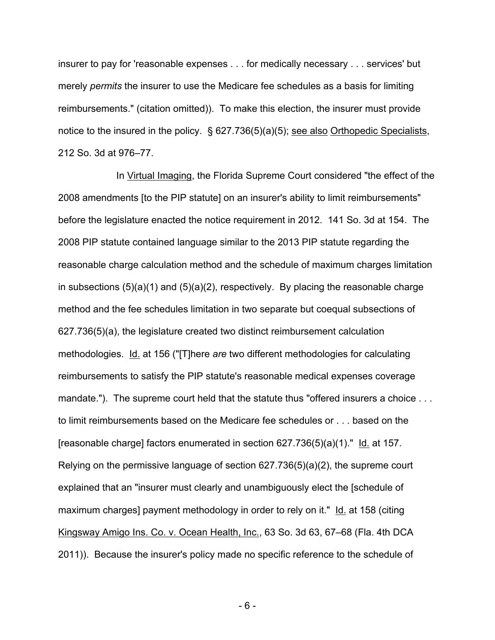insurer to pay for 'reasonable expenses . . . for medically necessary . . . services' but merely *permits* the insurer to use the Medicare fee schedules as a basis for limiting reimbursements." (citation omitted)). To make this election, the insurer must provide notice to the insured in the policy. § 627.736(5)(a)(5); see also Orthopedic Specialists, 212 So. 3d at 976–77.

In Virtual Imaging, the Florida Supreme Court considered "the effect of the 2008 amendments [to the PIP statute] on an insurer's ability to limit reimbursements" before the legislature enacted the notice requirement in 2012. 141 So. 3d at 154. The 2008 PIP statute contained language similar to the 2013 PIP statute regarding the reasonable charge calculation method and the schedule of maximum charges limitation in subsections  $(5)(a)(1)$  and  $(5)(a)(2)$ , respectively. By placing the reasonable charge method and the fee schedules limitation in two separate but coequal subsections of 627.736(5)(a), the legislature created two distinct reimbursement calculation methodologies. Id. at 156 ("[T]here *are* two different methodologies for calculating reimbursements to satisfy the PIP statute's reasonable medical expenses coverage mandate."). The supreme court held that the statute thus "offered insurers a choice ... to limit reimbursements based on the Medicare fee schedules or . . . based on the [reasonable charge] factors enumerated in section 627.736(5)(a)(1)." Id. at 157. Relying on the permissive language of section 627.736(5)(a)(2), the supreme court explained that an "insurer must clearly and unambiguously elect the [schedule of maximum charges] payment methodology in order to rely on it." Id. at 158 (citing Kingsway Amigo Ins. Co. v. Ocean Health, Inc., 63 So. 3d 63, 67–68 (Fla. 4th DCA 2011)). Because the insurer's policy made no specific reference to the schedule of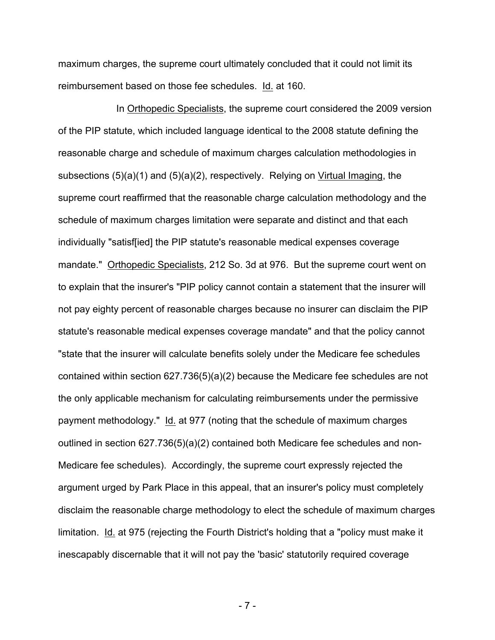maximum charges, the supreme court ultimately concluded that it could not limit its reimbursement based on those fee schedules. Id. at 160.

In Orthopedic Specialists, the supreme court considered the 2009 version of the PIP statute, which included language identical to the 2008 statute defining the reasonable charge and schedule of maximum charges calculation methodologies in subsections (5)(a)(1) and (5)(a)(2), respectively. Relying on Virtual Imaging, the supreme court reaffirmed that the reasonable charge calculation methodology and the schedule of maximum charges limitation were separate and distinct and that each individually "satisf[ied] the PIP statute's reasonable medical expenses coverage mandate." Orthopedic Specialists, 212 So. 3d at 976. But the supreme court went on to explain that the insurer's "PIP policy cannot contain a statement that the insurer will not pay eighty percent of reasonable charges because no insurer can disclaim the PIP statute's reasonable medical expenses coverage mandate" and that the policy cannot "state that the insurer will calculate benefits solely under the Medicare fee schedules contained within section 627.736(5)(a)(2) because the Medicare fee schedules are not the only applicable mechanism for calculating reimbursements under the permissive payment methodology." Id. at 977 (noting that the schedule of maximum charges outlined in section 627.736(5)(a)(2) contained both Medicare fee schedules and non-Medicare fee schedules). Accordingly, the supreme court expressly rejected the argument urged by Park Place in this appeal, that an insurer's policy must completely disclaim the reasonable charge methodology to elect the schedule of maximum charges limitation. Id. at 975 (rejecting the Fourth District's holding that a "policy must make it inescapably discernable that it will not pay the 'basic' statutorily required coverage

- 7 -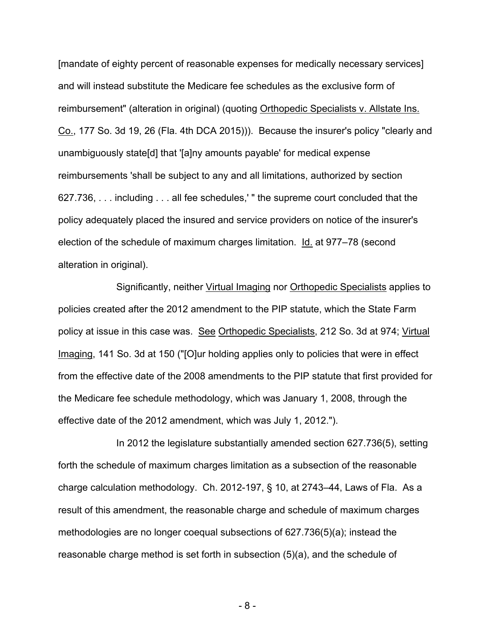[mandate of eighty percent of reasonable expenses for medically necessary services] and will instead substitute the Medicare fee schedules as the exclusive form of reimbursement" (alteration in original) (quoting Orthopedic Specialists v. Allstate Ins. Co., 177 So. 3d 19, 26 (Fla. 4th DCA 2015))). Because the insurer's policy "clearly and unambiguously state[d] that '[a]ny amounts payable' for medical expense reimbursements 'shall be subject to any and all limitations, authorized by section 627.736, . . . including . . . all fee schedules,' " the supreme court concluded that the policy adequately placed the insured and service providers on notice of the insurer's election of the schedule of maximum charges limitation. Id. at 977–78 (second alteration in original).

Significantly, neither Virtual Imaging nor Orthopedic Specialists applies to policies created after the 2012 amendment to the PIP statute, which the State Farm policy at issue in this case was. See Orthopedic Specialists, 212 So. 3d at 974; Virtual Imaging, 141 So. 3d at 150 ("[O]ur holding applies only to policies that were in effect from the effective date of the 2008 amendments to the PIP statute that first provided for the Medicare fee schedule methodology, which was January 1, 2008, through the effective date of the 2012 amendment, which was July 1, 2012.").

In 2012 the legislature substantially amended section 627.736(5), setting forth the schedule of maximum charges limitation as a subsection of the reasonable charge calculation methodology. Ch. 2012-197, § 10, at 2743–44, Laws of Fla. As a result of this amendment, the reasonable charge and schedule of maximum charges methodologies are no longer coequal subsections of 627.736(5)(a); instead the reasonable charge method is set forth in subsection (5)(a), and the schedule of

- 8 -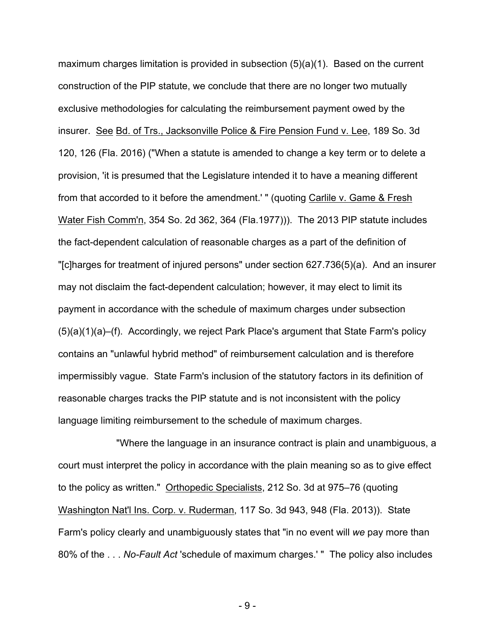maximum charges limitation is provided in subsection (5)(a)(1). Based on the current construction of the PIP statute, we conclude that there are no longer two mutually exclusive methodologies for calculating the reimbursement payment owed by the insurer. See Bd. of Trs., Jacksonville Police & Fire Pension Fund v. Lee, 189 So. 3d 120, 126 (Fla. 2016) ("When a statute is amended to change a key term or to delete a provision, 'it is presumed that the Legislature intended it to have a meaning different from that accorded to it before the amendment.' " (quoting Carlile v. Game & Fresh Water Fish Comm'n, 354 So. 2d 362, 364 (Fla.1977))). The 2013 PIP statute includes the fact-dependent calculation of reasonable charges as a part of the definition of "[c]harges for treatment of injured persons" under section 627.736(5)(a). And an insurer may not disclaim the fact-dependent calculation; however, it may elect to limit its payment in accordance with the schedule of maximum charges under subsection (5)(a)(1)(a)–(f). Accordingly, we reject Park Place's argument that State Farm's policy contains an "unlawful hybrid method" of reimbursement calculation and is therefore impermissibly vague. State Farm's inclusion of the statutory factors in its definition of reasonable charges tracks the PIP statute and is not inconsistent with the policy language limiting reimbursement to the schedule of maximum charges.

"Where the language in an insurance contract is plain and unambiguous, a court must interpret the policy in accordance with the plain meaning so as to give effect to the policy as written." Orthopedic Specialists, 212 So. 3d at 975–76 (quoting Washington Nat'l Ins. Corp. v. Ruderman, 117 So. 3d 943, 948 (Fla. 2013)). State Farm's policy clearly and unambiguously states that "in no event will *we* pay more than 80% of the . . . *No-Fault Act* 'schedule of maximum charges.' " The policy also includes

- 9 -